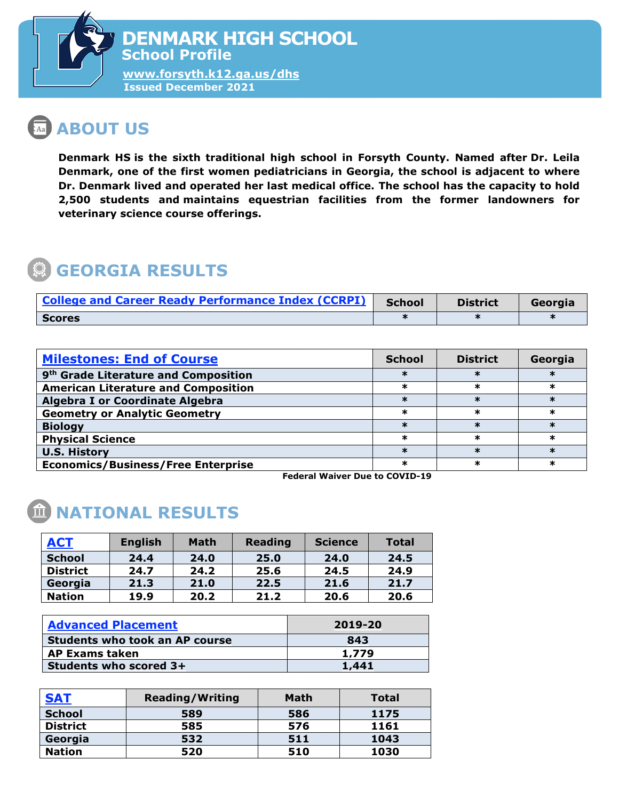

**[www.forsyth.k12.ga.us/dhs](https://www.forsyth.k12.ga.us/dhs) Issued December 2021**

# **ABOUT US**

**Denmark HS is the sixth traditional high school in Forsyth County. Named after Dr. Leila Denmark, one of the first women pediatricians in Georgia, the school is adjacent to where Dr. Denmark lived and operated her last medical office. The school has the capacity to hold 2,500 students and maintains equestrian facilities from the former landowners for veterinary science course offerings.**

# **GEORGIA RESULTS**

| <b>College and Career Ready Performance Index (CCRPI)</b> | <b>School</b> | <b>District</b> | Georgia |
|-----------------------------------------------------------|---------------|-----------------|---------|
| <b>Scores</b>                                             |               |                 |         |

| <b>Milestones: End of Course</b>                 | <b>School</b> | <b>District</b> | Georgia |
|--------------------------------------------------|---------------|-----------------|---------|
| 9 <sup>th</sup> Grade Literature and Composition |               |                 |         |
| <b>American Literature and Composition</b>       | ж             |                 |         |
| <b>Algebra I or Coordinate Algebra</b>           |               |                 |         |
| <b>Geometry or Analytic Geometry</b>             | ж             |                 |         |
| <b>Biology</b>                                   |               |                 | ж       |
| <b>Physical Science</b>                          | ж             | ж               | ж       |
| <b>U.S. History</b>                              |               |                 |         |
| <b>Economics/Business/Free Enterprise</b>        |               |                 |         |

 **Federal Waiver Due to COVID-19**

### **MATIONAL RESULTS**

| <b>ACT</b>      | <b>English</b> | <b>Math</b> | <b>Reading</b> | <b>Science</b> | <b>Total</b> |
|-----------------|----------------|-------------|----------------|----------------|--------------|
| <b>School</b>   | 24.4           | 24.0        | 25.0           | 24.0           | 24.5         |
| <b>District</b> | 24.7           | 24.2        | 25.6           | 24.5           | 24.9         |
| Georgia         | 21.3           | 21.0        | 22.5           | 21.6           | 21.7         |
| <b>Nation</b>   | 19.9           | 20.2        | 21.2           | 20.6           | 20.6         |

| <b>Advanced Placement</b>             | 2019-20 |  |  |
|---------------------------------------|---------|--|--|
| <b>Students who took an AP course</b> | 843     |  |  |
| <b>AP Exams taken</b>                 | 1,779   |  |  |
| Students who scored 3+                | 1,441   |  |  |

| SAT             | <b>Reading/Writing</b> | <b>Math</b> | Total |
|-----------------|------------------------|-------------|-------|
| <b>School</b>   | 589                    | 586         | 1175  |
| <b>District</b> | 585                    | 576         | 1161  |
| Georgia         | 532                    | 511         | 1043  |
| <b>Nation</b>   | 520                    | 510         | 1030  |